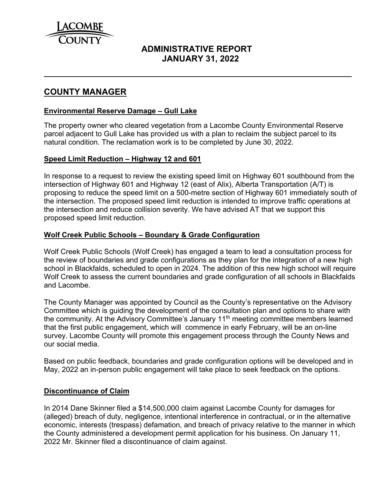

# **ADMINISTRATIVE REPORT JANUARY 31, 2022**

## **COUNTY MANAGER**

#### **Environmental Reserve Damage – Gull Lake**

The property owner who cleared vegetation from a Lacombe County Environmental Reserve parcel adjacent to Gull Lake has provided us with a plan to reclaim the subject parcel to its natural condition. The reclamation work is to be completed by June 30, 2022.

#### **Speed Limit Reduction – Highway 12 and 601**

In response to a request to review the existing speed limit on Highway 601 southbound from the intersection of Highway 601 and Highway 12 (east of Alix), Alberta Transportation (A/T) is proposing to reduce the speed limit on a 500-metre section of Highway 601 immediately south of the intersection. The proposed speed limit reduction is intended to improve traffic operations at the intersection and reduce collision severity. We have advised AT that we support this proposed speed limit reduction.

#### **Wolf Creek Public Schools – Boundary & Grade Configuration**

Wolf Creek Public Schools (Wolf Creek) has engaged a team to lead a consultation process for the review of boundaries and grade configurations as they plan for the integration of a new high school in Blackfalds, scheduled to open in 2024. The addition of this new high school will require Wolf Creek to assess the current boundaries and grade configuration of all schools in Blackfalds and Lacombe.

The County Manager was appointed by Council as the County's representative on the Advisory Committee which is guiding the development of the consultation plan and options to share with the community. At the Advisory Committee's January 11<sup>th</sup> meeting committee members learned that the first public engagement, which will commence in early February, will be an on-line survey. Lacombe County will promote this engagement process through the County News and our social media.

Based on public feedback, boundaries and grade configuration options will be developed and in May, 2022 an in-person public engagement will take place to seek feedback on the options.

#### **Discontinuance of Claim**

In 2014 Dane Skinner filed a \$14,500,000 claim against Lacombe County for damages for (alleged) breach of duty, negligence, intentional interference in contractual, or in the alternative economic, interests (trespass) defamation, and breach of privacy relative to the manner in which the County administered a development permit application for his business. On January 11, 2022 Mr. Skinner filed a discontinuance of claim against.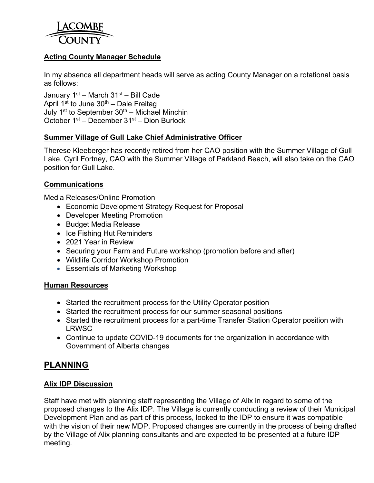

## **Acting County Manager Schedule**

In my absence all department heads will serve as acting County Manager on a rotational basis as follows:

January  $1<sup>st</sup>$  – March  $31<sup>st</sup>$  – Bill Cade April 1<sup>st</sup> to June  $30<sup>th</sup>$  – Dale Freitag July 1<sup>st</sup> to September  $30<sup>th</sup>$  – Michael Minchin October 1st – December 31st – Dion Burlock

### **Summer Village of Gull Lake Chief Administrative Officer**

Therese Kleeberger has recently retired from her CAO position with the Summer Village of Gull Lake. Cyril Fortney, CAO with the Summer Village of Parkland Beach, will also take on the CAO position for Gull Lake.

#### **Communications**

Media Releases/Online Promotion

- Economic Development Strategy Request for Proposal
- Developer Meeting Promotion
- Budget Media Release
- Ice Fishing Hut Reminders
- 2021 Year in Review
- Securing your Farm and Future workshop (promotion before and after)
- Wildlife Corridor Workshop Promotion
- Essentials of Marketing Workshop

#### **Human Resources**

- Started the recruitment process for the Utility Operator position
- Started the recruitment process for our summer seasonal positions
- Started the recruitment process for a part-time Transfer Station Operator position with LRWSC
- Continue to update COVID-19 documents for the organization in accordance with Government of Alberta changes

# **PLANNING**

#### **Alix IDP Discussion**

Staff have met with planning staff representing the Village of Alix in regard to some of the proposed changes to the Alix IDP. The Village is currently conducting a review of their Municipal Development Plan and as part of this process, looked to the IDP to ensure it was compatible with the vision of their new MDP. Proposed changes are currently in the process of being drafted by the Village of Alix planning consultants and are expected to be presented at a future IDP meeting.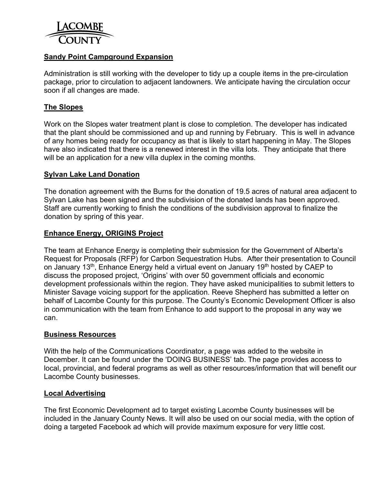

## **Sandy Point Campground Expansion**

Administration is still working with the developer to tidy up a couple items in the pre-circulation package, prior to circulation to adjacent landowners. We anticipate having the circulation occur soon if all changes are made.

#### **The Slopes**

Work on the Slopes water treatment plant is close to completion. The developer has indicated that the plant should be commissioned and up and running by February. This is well in advance of any homes being ready for occupancy as that is likely to start happening in May. The Slopes have also indicated that there is a renewed interest in the villa lots. They anticipate that there will be an application for a new villa duplex in the coming months.

#### **Sylvan Lake Land Donation**

The donation agreement with the Burns for the donation of 19.5 acres of natural area adjacent to Sylvan Lake has been signed and the subdivision of the donated lands has been approved. Staff are currently working to finish the conditions of the subdivision approval to finalize the donation by spring of this year.

#### **Enhance Energy, ORIGINS Project**

The team at Enhance Energy is completing their submission for the Government of Alberta's Request for Proposals (RFP) for Carbon Sequestration Hubs. After their presentation to Council on January 13<sup>th</sup>, Enhance Energy held a virtual event on January 19<sup>th</sup> hosted by CAEP to discuss the proposed project, 'Origins' with over 50 government officials and economic development professionals within the region. They have asked municipalities to submit letters to Minister Savage voicing support for the application. Reeve Shepherd has submitted a letter on behalf of Lacombe County for this purpose. The County's Economic Development Officer is also in communication with the team from Enhance to add support to the proposal in any way we can.

#### **Business Resources**

With the help of the Communications Coordinator, a page was added to the website in December. It can be found under the 'DOING BUSINESS' tab. The page provides access to local, provincial, and federal programs as well as other resources/information that will benefit our Lacombe County businesses.

#### **Local Advertising**

The first Economic Development ad to target existing Lacombe County businesses will be included in the January County News. It will also be used on our social media, with the option of doing a targeted Facebook ad which will provide maximum exposure for very little cost.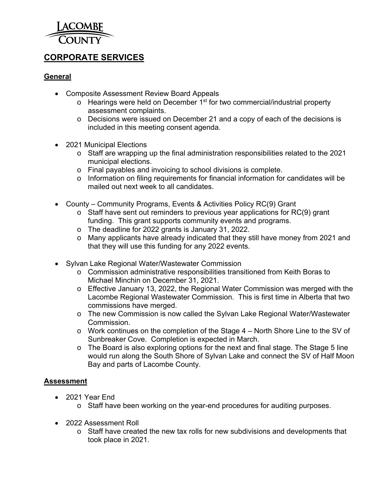

# **CORPORATE SERVICES**

## **General**

- Composite Assessment Review Board Appeals
	- $\circ$  Hearings were held on December 1<sup>st</sup> for two commercial/industrial property assessment complaints.
	- o Decisions were issued on December 21 and a copy of each of the decisions is included in this meeting consent agenda.
- 2021 Municipal Elections
	- o Staff are wrapping up the final administration responsibilities related to the 2021 municipal elections.
	- o Final payables and invoicing to school divisions is complete.
	- o Information on filing requirements for financial information for candidates will be mailed out next week to all candidates.
- County Community Programs, Events & Activities Policy RC(9) Grant
	- o Staff have sent out reminders to previous year applications for RC(9) grant funding. This grant supports community events and programs.
	- o The deadline for 2022 grants is January 31, 2022.
	- o Many applicants have already indicated that they still have money from 2021 and that they will use this funding for any 2022 events.
- Sylvan Lake Regional Water/Wastewater Commission
	- o Commission administrative responsibilities transitioned from Keith Boras to Michael Minchin on December 31, 2021.
	- o Effective January 13, 2022, the Regional Water Commission was merged with the Lacombe Regional Wastewater Commission. This is first time in Alberta that two commissions have merged.
	- o The new Commission is now called the Sylvan Lake Regional Water/Wastewater Commission.
	- o Work continues on the completion of the Stage 4 North Shore Line to the SV of Sunbreaker Cove. Completion is expected in March.
	- o The Board is also exploring options for the next and final stage. The Stage 5 line would run along the South Shore of Sylvan Lake and connect the SV of Half Moon Bay and parts of Lacombe County.

## **Assessment**

- 2021 Year End
	- o Staff have been working on the year-end procedures for auditing purposes.
- 2022 Assessment Roll
	- o Staff have created the new tax rolls for new subdivisions and developments that took place in 2021.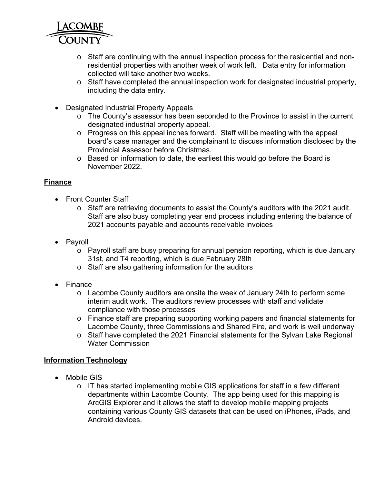

- o Staff are continuing with the annual inspection process for the residential and nonresidential properties with another week of work left. Data entry for information collected will take another two weeks.
- o Staff have completed the annual inspection work for designated industrial property, including the data entry.
- Designated Industrial Property Appeals
	- o The County's assessor has been seconded to the Province to assist in the current designated industrial property appeal.
	- o Progress on this appeal inches forward. Staff will be meeting with the appeal board's case manager and the complainant to discuss information disclosed by the Provincial Assessor before Christmas.
	- o Based on information to date, the earliest this would go before the Board is November 2022.

## **Finance**

- Front Counter Staff
	- o Staff are retrieving documents to assist the County's auditors with the 2021 audit. Staff are also busy completing year end process including entering the balance of 2021 accounts payable and accounts receivable invoices
- Payroll
	- o Payroll staff are busy preparing for annual pension reporting, which is due January 31st, and T4 reporting, which is due February 28th
	- o Staff are also gathering information for the auditors
- Finance
	- o Lacombe County auditors are onsite the week of January 24th to perform some interim audit work. The auditors review processes with staff and validate compliance with those processes
	- o Finance staff are preparing supporting working papers and financial statements for Lacombe County, three Commissions and Shared Fire, and work is well underway
	- o Staff have completed the 2021 Financial statements for the Sylvan Lake Regional Water Commission

## **Information Technology**

- Mobile GIS
	- o IT has started implementing mobile GIS applications for staff in a few different departments within Lacombe County. The app being used for this mapping is ArcGIS Explorer and it allows the staff to develop mobile mapping projects containing various County GIS datasets that can be used on iPhones, iPads, and Android devices.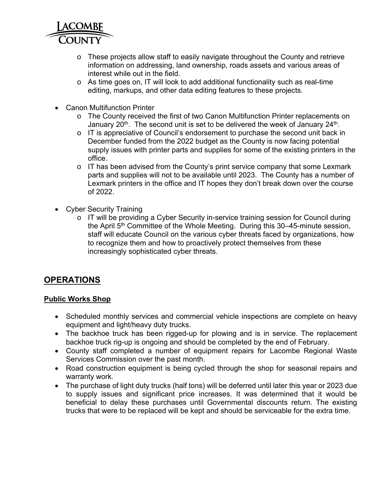

- o These projects allow staff to easily navigate throughout the County and retrieve information on addressing, land ownership, roads assets and various areas of interest while out in the field.
- o As time goes on, IT will look to add additional functionality such as real-time editing, markups, and other data editing features to these projects.
- Canon Multifunction Printer
	- o The County received the first of two Canon Multifunction Printer replacements on January  $20<sup>th</sup>$ . The second unit is set to be delivered the week of January  $24<sup>th</sup>$ .
	- o IT is appreciative of Council's endorsement to purchase the second unit back in December funded from the 2022 budget as the County is now facing potential supply issues with printer parts and supplies for some of the existing printers in the office.
	- $\circ$  IT has been advised from the County's print service company that some Lexmark parts and supplies will not to be available until 2023. The County has a number of Lexmark printers in the office and IT hopes they don't break down over the course of 2022.
- Cyber Security Training
	- o IT will be providing a Cyber Security in-service training session for Council during the April  $5<sup>th</sup>$  Committee of the Whole Meeting. During this 30–45-minute session, staff will educate Council on the various cyber threats faced by organizations, how to recognize them and how to proactively protect themselves from these increasingly sophisticated cyber threats.

## **OPERATIONS**

#### **Public Works Shop**

- Scheduled monthly services and commercial vehicle inspections are complete on heavy equipment and light/heavy duty trucks.
- The backhoe truck has been rigged-up for plowing and is in service. The replacement backhoe truck rig-up is ongoing and should be completed by the end of February.
- County staff completed a number of equipment repairs for Lacombe Regional Waste Services Commission over the past month.
- Road construction equipment is being cycled through the shop for seasonal repairs and warranty work.
- The purchase of light duty trucks (half tons) will be deferred until later this year or 2023 due to supply issues and significant price increases. It was determined that it would be beneficial to delay these purchases until Governmental discounts return. The existing trucks that were to be replaced will be kept and should be serviceable for the extra time.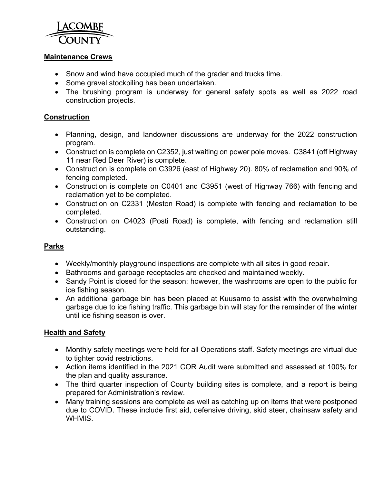

#### **Maintenance Crews**

- Snow and wind have occupied much of the grader and trucks time.
- Some gravel stockpiling has been undertaken.
- The brushing program is underway for general safety spots as well as 2022 road construction projects.

### **Construction**

- Planning, design, and landowner discussions are underway for the 2022 construction program.
- Construction is complete on C2352, just waiting on power pole moves. C3841 (off Highway 11 near Red Deer River) is complete.
- Construction is complete on C3926 (east of Highway 20). 80% of reclamation and 90% of fencing completed.
- Construction is complete on C0401 and C3951 (west of Highway 766) with fencing and reclamation yet to be completed.
- Construction on C2331 (Meston Road) is complete with fencing and reclamation to be completed.
- Construction on C4023 (Posti Road) is complete, with fencing and reclamation still outstanding.

## **Parks**

- Weekly/monthly playground inspections are complete with all sites in good repair.
- Bathrooms and garbage receptacles are checked and maintained weekly.
- Sandy Point is closed for the season; however, the washrooms are open to the public for ice fishing season.
- An additional garbage bin has been placed at Kuusamo to assist with the overwhelming garbage due to ice fishing traffic. This garbage bin will stay for the remainder of the winter until ice fishing season is over.

## **Health and Safety**

- Monthly safety meetings were held for all Operations staff. Safety meetings are virtual due to tighter covid restrictions.
- Action items identified in the 2021 COR Audit were submitted and assessed at 100% for the plan and quality assurance.
- The third quarter inspection of County building sites is complete, and a report is being prepared for Administration's review.
- Many training sessions are complete as well as catching up on items that were postponed due to COVID. These include first aid, defensive driving, skid steer, chainsaw safety and WHMIS.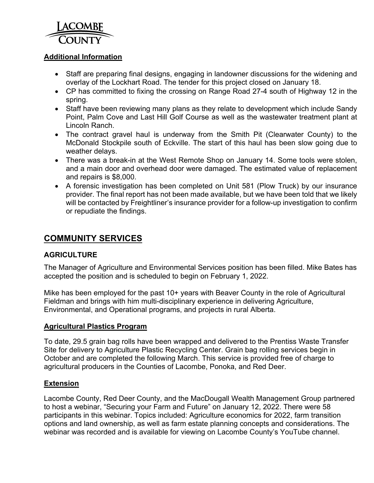

### **Additional Information**

- Staff are preparing final designs, engaging in landowner discussions for the widening and overlay of the Lockhart Road. The tender for this project closed on January 18.
- CP has committed to fixing the crossing on Range Road 27-4 south of Highway 12 in the spring.
- Staff have been reviewing many plans as they relate to development which include Sandy Point, Palm Cove and Last Hill Golf Course as well as the wastewater treatment plant at Lincoln Ranch.
- The contract gravel haul is underway from the Smith Pit (Clearwater County) to the McDonald Stockpile south of Eckville. The start of this haul has been slow going due to weather delays.
- There was a break-in at the West Remote Shop on January 14. Some tools were stolen, and a main door and overhead door were damaged. The estimated value of replacement and repairs is \$8,000.
- A forensic investigation has been completed on Unit 581 (Plow Truck) by our insurance provider. The final report has not been made available, but we have been told that we likely will be contacted by Freightliner's insurance provider for a follow-up investigation to confirm or repudiate the findings.

# **COMMUNITY SERVICES**

## **AGRICULTURE**

The Manager of Agriculture and Environmental Services position has been filled. Mike Bates has accepted the position and is scheduled to begin on February 1, 2022.

Mike has been employed for the past 10+ years with Beaver County in the role of Agricultural Fieldman and brings with him multi-disciplinary experience in delivering Agriculture, Environmental, and Operational programs, and projects in rural Alberta.

#### **Agricultural Plastics Program**

To date, 29.5 grain bag rolls have been wrapped and delivered to the Prentiss Waste Transfer Site for delivery to Agriculture Plastic Recycling Center. Grain bag rolling services begin in October and are completed the following March. This service is provided free of charge to agricultural producers in the Counties of Lacombe, Ponoka, and Red Deer.

#### **Extension**

Lacombe County, Red Deer County, and the MacDougall Wealth Management Group partnered to host a webinar, "Securing your Farm and Future" on January 12, 2022. There were 58 participants in this webinar. Topics included: Agriculture economics for 2022, farm transition options and land ownership, as well as farm estate planning concepts and considerations. The webinar was recorded and is available for viewing on Lacombe County's YouTube channel.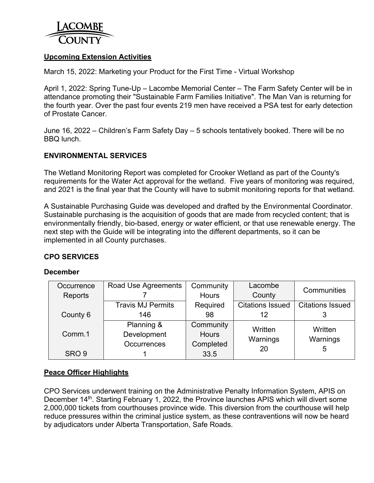

### **Upcoming Extension Activities**

March 15, 2022: Marketing your Product for the First Time - Virtual Workshop

April 1, 2022: Spring Tune-Up – Lacombe Memorial Center – The Farm Safety Center will be in attendance promoting their "Sustainable Farm Families Initiative". The Man Van is returning for the fourth year. Over the past four events 219 men have received a PSA test for early detection of Prostate Cancer.

June 16, 2022 – Children's Farm Safety Day – 5 schools tentatively booked. There will be no BBQ lunch.

#### **ENVIRONMENTAL SERVICES**

The Wetland Monitoring Report was completed for Crooker Wetland as part of the County's requirements for the Water Act approval for the wetland. Five years of monitoring was required, and 2021 is the final year that the County will have to submit monitoring reports for that wetland.

A Sustainable Purchasing Guide was developed and drafted by the Environmental Coordinator. Sustainable purchasing is the acquisition of goods that are made from recycled content; that is environmentally friendly, bio-based, energy or water efficient, or that use renewable energy. The next step with the Guide will be integrating into the different departments, so it can be implemented in all County purchases.

#### **CPO SERVICES**

#### **December**

| Occurrence       | Road Use Agreements      | Community    | Lacombe                 | Communities             |  |
|------------------|--------------------------|--------------|-------------------------|-------------------------|--|
| Reports          |                          | <b>Hours</b> |                         |                         |  |
|                  | <b>Travis MJ Permits</b> | Required     | <b>Citations Issued</b> | <b>Citations Issued</b> |  |
| County 6         | 146                      | 98           | 12                      |                         |  |
|                  | Planning &               | Community    | Written                 | Written                 |  |
| Comm.1           | Development              | <b>Hours</b> | Warnings                | Warnings                |  |
|                  | <b>Occurrences</b>       | Completed    | 20                      |                         |  |
| SRO <sub>9</sub> |                          | 33.5         |                         | ხ                       |  |

#### **Peace Officer Highlights**

CPO Services underwent training on the Administrative Penalty Information System, APIS on December 14<sup>th</sup>. Starting February 1, 2022, the Province launches APIS which will divert some 2,000,000 tickets from courthouses province wide. This diversion from the courthouse will help reduce pressures within the criminal justice system, as these contraventions will now be heard by adjudicators under Alberta Transportation, Safe Roads.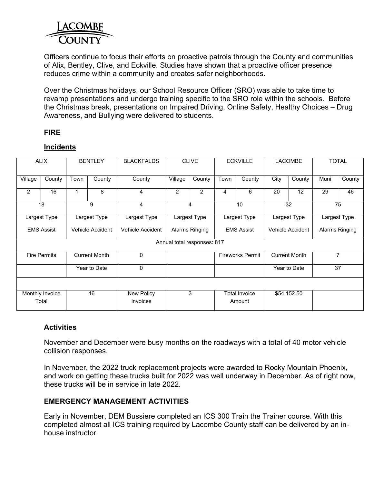

Officers continue to focus their efforts on proactive patrols through the County and communities of Alix, Bentley, Clive, and Eckville. Studies have shown that a proactive officer presence reduces crime within a community and creates safer neighborhoods.

Over the Christmas holidays, our School Resource Officer (SRO) was able to take time to revamp presentations and undergo training specific to the SRO role within the schools. Before the Christmas break, presentations on Impaired Driving, Online Safety, Healthy Choices – Drug Awareness, and Bullying were delivered to students.

### **FIRE**

## **Incidents**

| <b>ALIX</b>                 |                          | <b>BENTLEY</b>       |                  | <b>BLACKFALDS</b>             | <b>CLIVE</b>                        |                | <b>ECKVILLE</b>         |                                | <b>LACOMBE</b>       |                | <b>TOTAL</b>   |              |  |
|-----------------------------|--------------------------|----------------------|------------------|-------------------------------|-------------------------------------|----------------|-------------------------|--------------------------------|----------------------|----------------|----------------|--------------|--|
| Village                     | County                   | Town                 | County           | County                        | Village                             | County         | Town                    | County                         | City                 | County         | Muni           | County       |  |
| 2                           | 16                       |                      | 8                | 4                             | 2                                   | $\overline{2}$ | 4                       | 6                              | 20                   | 12             | 29             | 46           |  |
| 18                          |                          |                      | 9                | 4                             | $\overline{4}$                      |                | 10                      |                                | 32                   |                | 75             |              |  |
| Largest Type                |                          |                      | Largest Type     | Largest Type                  | Largest Type                        |                |                         | Largest Type                   |                      | Largest Type   |                | Largest Type |  |
| <b>EMS Assist</b>           |                          |                      | Vehicle Accident | Vehicle Accident              | Alarms Ringing<br><b>EMS Assist</b> |                |                         | Vehicle Accident               |                      | Alarms Ringing |                |              |  |
| Annual total responses: 817 |                          |                      |                  |                               |                                     |                |                         |                                |                      |                |                |              |  |
| <b>Fire Permits</b>         |                          | <b>Current Month</b> |                  | 0                             |                                     |                | <b>Fireworks Permit</b> |                                | <b>Current Month</b> |                | $\overline{7}$ |              |  |
|                             |                          | Year to Date         |                  | 0                             |                                     |                |                         |                                | Year to Date         |                | 37             |              |  |
|                             |                          |                      |                  |                               |                                     |                |                         |                                |                      |                |                |              |  |
|                             | Monthly Invoice<br>Total |                      | 16               | New Policy<br><b>Invoices</b> |                                     | 3              |                         | <b>Total Invoice</b><br>Amount |                      | \$54,152.50    |                |              |  |

#### **Activities**

November and December were busy months on the roadways with a total of 40 motor vehicle collision responses.

In November, the 2022 truck replacement projects were awarded to Rocky Mountain Phoenix, and work on getting these trucks built for 2022 was well underway in December. As of right now, these trucks will be in service in late 2022.

#### **EMERGENCY MANAGEMENT ACTIVITIES**

Early in November, DEM Bussiere completed an ICS 300 Train the Trainer course. With this completed almost all ICS training required by Lacombe County staff can be delivered by an inhouse instructor.